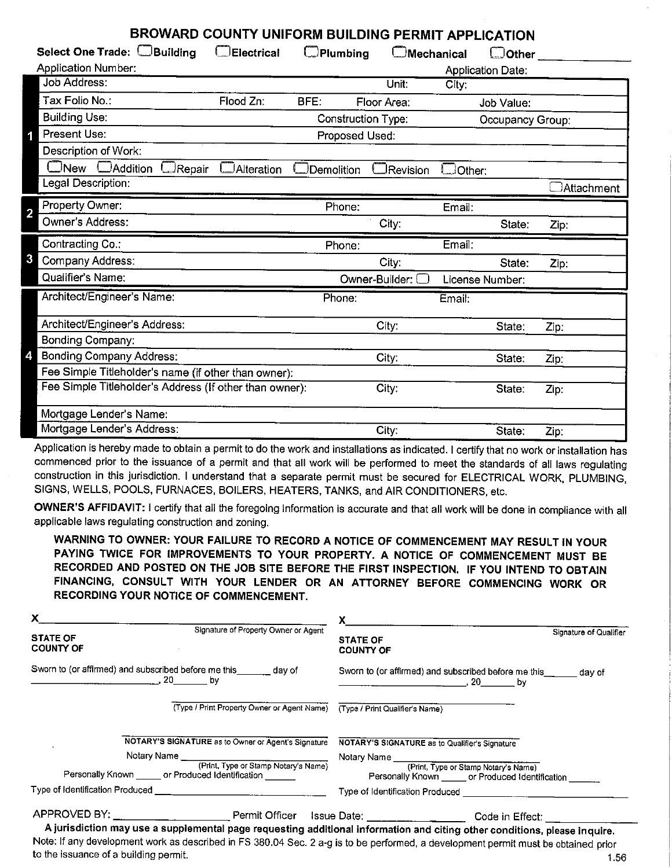| DAVYAND COUNTT UNIFORM DUILDING FERMIT APPLICATION      |                    |                    |                   |               |                          |            |
|---------------------------------------------------------|--------------------|--------------------|-------------------|---------------|--------------------------|------------|
| Select One Trade: CBuilding                             | <b>Electrical</b>  | $\Box$ Plumbing    | <b>Mechanical</b> |               | $\Box$ Other             |            |
| <b>Application Number:</b>                              |                    |                    |                   |               | <b>Application Date:</b> |            |
| <b>Job Address:</b>                                     |                    |                    | Unit:             | City:         |                          |            |
| Tax Folio No.:                                          | Flood Zn:          | BFE:               | Floor Area:       |               | Job Value:               |            |
| <b>Building Use:</b>                                    |                    | Construction Type: |                   |               | Occupancy Group:         |            |
| <b>Present Use:</b><br>1                                |                    | Proposed Used:     |                   |               |                          |            |
| Description of Work:                                    |                    |                    |                   |               |                          |            |
| $\square$ New<br>$\Box$ Addition<br>$\Box$ Repair       | <b>JAlteration</b> | Demolition         | Revision          | $\Box$ Other: |                          |            |
| Legal Description:                                      |                    |                    |                   |               |                          | Attachment |
| Property Owner:<br>2                                    |                    | Phone:             |                   | Email:        |                          |            |
| Owner's Address:                                        |                    |                    | City:             |               | State:                   | Zip:       |
|                                                         |                    |                    |                   |               |                          |            |
| Contracting Co.:                                        |                    | Phone:             |                   | Email:        |                          |            |
| 3<br>Company Address:                                   |                    |                    | City:             |               | State:                   | Zip:       |
| Qualifier's Name:                                       |                    |                    | Owner-Builder:    |               | License Number:          |            |
| Architect/Engineer's Name:                              |                    | Phone:             |                   | Email:        |                          |            |
| Architect/Engineer's Address:                           |                    |                    | City:             |               | State:                   | Zip:       |
| Bonding Company:                                        |                    |                    |                   |               |                          |            |
| <b>Bonding Company Address:</b>                         |                    |                    | City:             |               | State:                   | Zip:       |
| Fee Simple Titleholder's name (if other than owner):    |                    |                    |                   |               |                          |            |
| Fee Simple Titleholder's Address (If other than owner): |                    |                    | City:             |               | State:                   | Zip:       |
| Mortgage Lender's Name:                                 |                    |                    |                   |               |                          |            |

**BROWARD COUNTY UNIFORM BUILDING PERMIT APPLICATION** 

Application is hereby made to obtain a permit to do the work and installations as indicated. I certify that no work or installation has commenced prior to the issuance of a permit and that all work will be performed to meet the standards of all laws regulating construction in this jurisdiction. I understand that a separate permit must be secured for ELECTRICAL WORK, PLUMBING, SIGNS, WELLS, POOLS, FURNACES, BOILERS, HEATERS, TANKS, and AIR CONDITIONERS, etc.

**OWNER'S AFFIDAVIT:** I certify that all the foregoing information is accurate and that all work will be done in compliance with all applicable laws regulating construction and zoning.

**WARNING TO OWNER: YOUR FAILURE TO RECORD A NOTICE OF COMMENCEMENT MAY RESULT IN YOUR PAYING TWICE FOR IMPROVEMENTS TO YOUR PROPERTY. A NOTICE OF COMMENCEMENT MUST BE RECORDED AND POSTED ON** THE **JOB SITE BEFORE** THE **FIRST INSPECTION. IF YOU INTEND TO OBTAIN**  FINANCING, CONSULT WITH YOUR LENDER OR AN ATTORNEY BEFORE COMMENCING WORK OR RECORDING YOUR NOTICE OF COMMENCEMENT.

| x.                                                                                                                                 | $x =$                                                                                                          |
|------------------------------------------------------------------------------------------------------------------------------------|----------------------------------------------------------------------------------------------------------------|
| Signature of Property Owner or Agent<br><b>STATE OF</b><br><b>COUNTY OF</b>                                                        | Signature of Qualifier<br><b>STATE OF</b><br><b>COUNTY OF</b>                                                  |
| Sworn to (or affirmed) and subscribed before me this _______ day of<br>$\sim$ 20 by                                                | Sworn to (or affirmed) and subscribed before me this _______ day of<br>$\sim$ , 20 by                          |
| (Type / Print Property Owner or Agent Name)                                                                                        | (Type / Print Qualifier's Name)                                                                                |
| NOTARY'S SIGNATURE as to Owner or Agent's Signature                                                                                | NOTARY'S SIGNATURE as to Qualifier's Signature                                                                 |
|                                                                                                                                    |                                                                                                                |
| Personally Known ______ or Produced Identification _______                                                                         | Notary Name (Print, Type or Stamp Notary's Name)<br>Personally Known ______ or Produced Identification _______ |
|                                                                                                                                    |                                                                                                                |
| APPROVED BY: ______________________________Permit Officer Issue Date: ________________________Code in Effect: ______________       |                                                                                                                |
| A jurisdiction may use a supplemental page requesting additional information and citing other conditions, please inquire.          |                                                                                                                |
| Note: If any development work as described in FS 380.04 Sec. 2 a-g is to be performed, a development permit must be obtained prior |                                                                                                                |

to the issuance of a building permit. 1.56